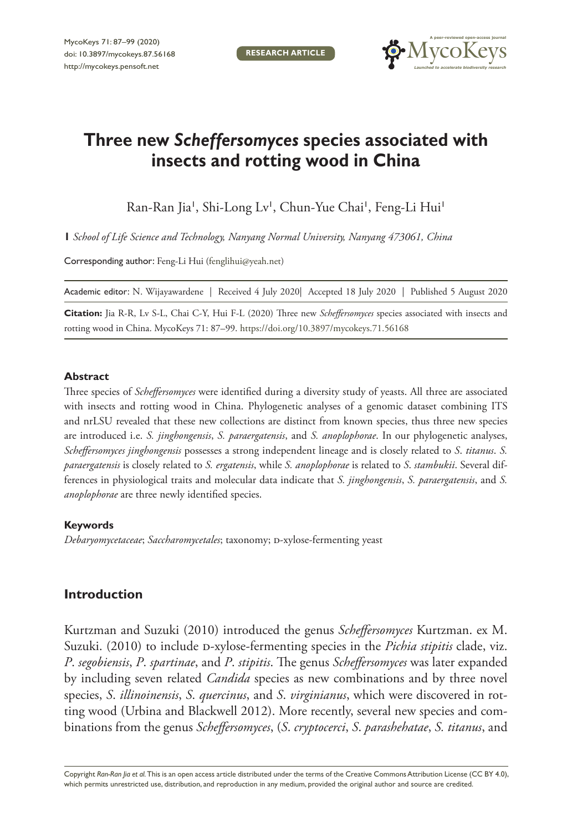**RESEARCH ARTICLE**



# **Three new** *Scheffersomyces* **species associated with insects and rotting wood in China**

Ran-Ran Jia', Shi-Long Lv', Chun-Yue Chai', Feng-Li Hui'

**1** *School of Life Science and Technology, Nanyang Normal University, Nanyang 473061, China*

Corresponding author: Feng-Li Hui ([fenglihui@yeah.net\)](mailto:fenglihui@yeah.net)

Academic editor: N. Wijayawardene | Received 4 July 2020| Accepted 18 July 2020 | Published 5 August 2020

**Citation:** Jia R-R, Lv S-L, Chai C-Y, Hui F-L (2020) Three new *Scheffersomyces* species associated with insects and rotting wood in China. MycoKeys 71: 87–99.<https://doi.org/10.3897/mycokeys.71.56168>

#### **Abstract**

Three species of *Scheffersomyces* were identified during a diversity study of yeasts. All three are associated with insects and rotting wood in China. Phylogenetic analyses of a genomic dataset combining ITS and nrLSU revealed that these new collections are distinct from known species, thus three new species are introduced i.e. *S. jinghongensis*, *S. paraergatensis*, and *S. anoplophorae*. In our phylogenetic analyses, *Scheffersomyces jinghongensis* possesses a strong independent lineage and is closely related to *S*. *titanus*. *S. paraergatensis* is closely related to *S. ergatensis*, while *S. anoplophorae* is related to *S*. *stambukii*. Several differences in physiological traits and molecular data indicate that *S. jinghongensis*, *S. paraergatensis*, and *S. anoplophorae* are three newly identified species.

# **Keywords**

*Debaryomycetaceae*; *Saccharomycetales*; taxonomy; d-xylose-fermenting yeast

# **Introduction**

Kurtzman and Suzuki (2010) introduced the genus *Scheffersomyces* Kurtzman. ex M. Suzuki. (2010) to include D-xylose-fermenting species in the *Pichia stipitis* clade, viz. *P*. *segobiensis*, *P*. *spartinae*, and *P*. *stipitis*. The genus *Scheffersomyces* was later expanded by including seven related *Candida* species as new combinations and by three novel species, *S*. *illinoinensis*, *S*. *quercinus*, and *S*. *virginianus*, which were discovered in rotting wood (Urbina and Blackwell 2012). More recently, several new species and combinations from the genus *Scheffersomyces*, (*S*. *cryptocerci*, *S*. *parashehatae*, *S. titanus*, and

Copyright *Ran-Ran Jia et al.* This is an open access article distributed under the terms of the [Creative Commons Attribution License \(CC BY 4.0\),](http://creativecommons.org/licenses/by/4.0/) which permits unrestricted use, distribution, and reproduction in any medium, provided the original author and source are credited.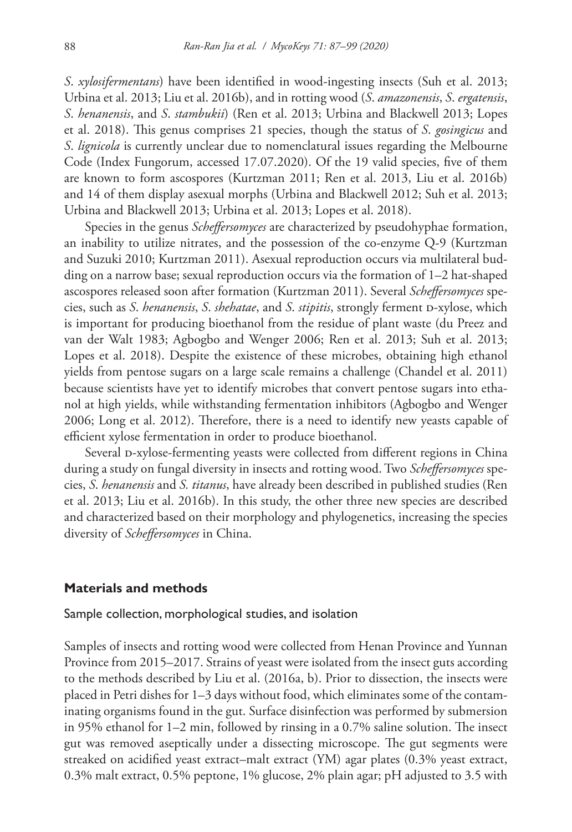*S*. *xylosifermentans*) have been identified in wood-ingesting insects (Suh et al. 2013; Urbina et al. 2013; Liu et al. 2016b), and in rotting wood (*S*. *amazonensis*, *S*. *ergatensis*, *S*. *henanensis*, and *S*. *stambukii*) (Ren et al. 2013; Urbina and Blackwell 2013; Lopes et al. 2018). This genus comprises 21 species, though the status of *S*. *gosingicus* and *S*. *lignicola* is currently unclear due to nomenclatural issues regarding the Melbourne Code (Index Fungorum, accessed 17.07.2020). Of the 19 valid species, five of them are known to form ascospores (Kurtzman 2011; Ren et al. 2013, Liu et al. 2016b) and 14 of them display asexual morphs (Urbina and Blackwell 2012; Suh et al. 2013; Urbina and Blackwell 2013; Urbina et al. 2013; Lopes et al. 2018).

Species in the genus *Scheffersomyces* are characterized by pseudohyphae formation, an inability to utilize nitrates, and the possession of the co-enzyme Q-9 (Kurtzman and Suzuki 2010; Kurtzman 2011). Asexual reproduction occurs via multilateral budding on a narrow base; sexual reproduction occurs via the formation of 1–2 hat-shaped ascospores released soon after formation (Kurtzman 2011). Several *Scheffersomyces* species, such as *S*. *henanensis*, *S*. *shehatae*, and *S*. *stipitis*, strongly ferment d-xylose, which is important for producing bioethanol from the residue of plant waste (du Preez and van der Walt 1983; Agbogbo and Wenger 2006; Ren et al. 2013; Suh et al. 2013; Lopes et al. 2018). Despite the existence of these microbes, obtaining high ethanol yields from pentose sugars on a large scale remains a challenge (Chandel et al. 2011) because scientists have yet to identify microbes that convert pentose sugars into ethanol at high yields, while withstanding fermentation inhibitors (Agbogbo and Wenger 2006; Long et al. 2012). Therefore, there is a need to identify new yeasts capable of efficient xylose fermentation in order to produce bioethanol.

Several p-xylose-fermenting yeasts were collected from different regions in China during a study on fungal diversity in insects and rotting wood. Two *Scheffersomyces* species, *S*. *henanensis* and *S. titanus*, have already been described in published studies (Ren et al. 2013; Liu et al. 2016b). In this study, the other three new species are described and characterized based on their morphology and phylogenetics, increasing the species diversity of *Scheffersomyces* in China.

# **Materials and methods**

Sample collection, morphological studies, and isolation

Samples of insects and rotting wood were collected from Henan Province and Yunnan Province from 2015–2017. Strains of yeast were isolated from the insect guts according to the methods described by Liu et al. (2016a, b). Prior to dissection, the insects were placed in Petri dishes for 1–3 days without food, which eliminates some of the contaminating organisms found in the gut. Surface disinfection was performed by submersion in 95% ethanol for 1–2 min, followed by rinsing in a 0.7% saline solution. The insect gut was removed aseptically under a dissecting microscope. The gut segments were streaked on acidified yeast extract–malt extract (YM) agar plates (0.3% yeast extract, 0.3% malt extract, 0.5% peptone, 1% glucose, 2% plain agar; pH adjusted to 3.5 with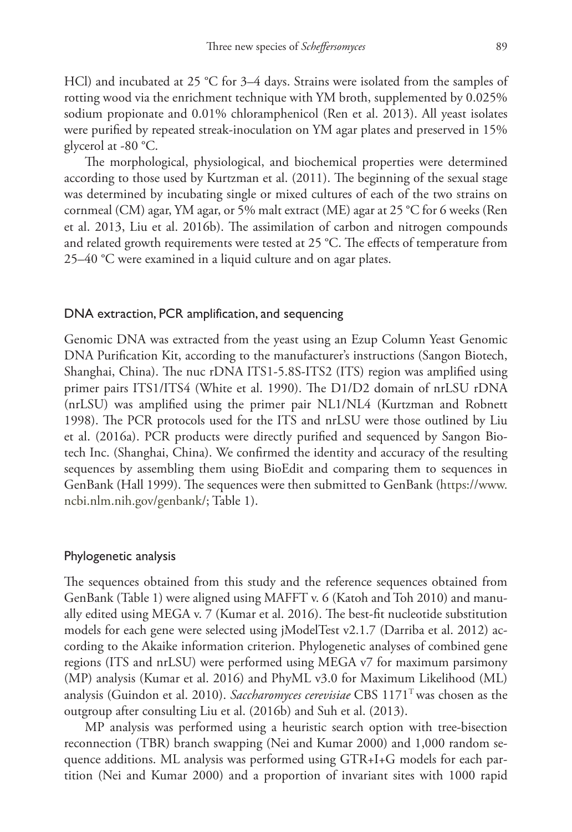HCl) and incubated at 25 °C for 3–4 days. Strains were isolated from the samples of rotting wood via the enrichment technique with YM broth, supplemented by 0.025% sodium propionate and 0.01% chloramphenicol (Ren et al. 2013). All yeast isolates were purified by repeated streak-inoculation on YM agar plates and preserved in 15% glycerol at -80 °C.

The morphological, physiological, and biochemical properties were determined according to those used by Kurtzman et al. (2011). The beginning of the sexual stage was determined by incubating single or mixed cultures of each of the two strains on cornmeal (CM) agar, YM agar, or 5% malt extract (ME) agar at 25 °C for 6 weeks (Ren et al. 2013, Liu et al. 2016b). The assimilation of carbon and nitrogen compounds and related growth requirements were tested at  $25$  °C. The effects of temperature from 25–40 °C were examined in a liquid culture and on agar plates.

# DNA extraction, PCR amplification, and sequencing

Genomic DNA was extracted from the yeast using an Ezup Column Yeast Genomic DNA Purification Kit, according to the manufacturer's instructions (Sangon Biotech, Shanghai, China). The nuc rDNA ITS1-5.8S-ITS2 (ITS) region was amplified using primer pairs ITS1/ITS4 (White et al. 1990). The D1/D2 domain of nrLSU rDNA (nrLSU) was amplified using the primer pair NL1/NL4 (Kurtzman and Robnett 1998). The PCR protocols used for the ITS and nrLSU were those outlined by Liu et al. (2016a). PCR products were directly purified and sequenced by Sangon Biotech Inc. (Shanghai, China). We confirmed the identity and accuracy of the resulting sequences by assembling them using BioEdit and comparing them to sequences in GenBank (Hall 1999). The sequences were then submitted to GenBank [\(https://www.](https://www) ncbi.nlm.nih.gov/genbank/; Table 1).

#### Phylogenetic analysis

The sequences obtained from this study and the reference sequences obtained from GenBank (Table 1) were aligned using MAFFT v. 6 (Katoh and Toh 2010) and manually edited using MEGA v. 7 (Kumar et al. 2016). The best-fit nucleotide substitution models for each gene were selected using jModelTest v2.1.7 (Darriba et al. 2012) according to the Akaike information criterion. Phylogenetic analyses of combined gene regions (ITS and nrLSU) were performed using MEGA v7 for maximum parsimony (MP) analysis (Kumar et al. 2016) and PhyML v3.0 for Maximum Likelihood (ML) analysis (Guindon et al. 2010). *Saccharomyces cerevisiae* CBS 1171T was chosen as the outgroup after consulting Liu et al. (2016b) and Suh et al. (2013).

MP analysis was performed using a heuristic search option with tree-bisection reconnection (TBR) branch swapping (Nei and Kumar 2000) and 1,000 random sequence additions. ML analysis was performed using GTR+I+G models for each partition (Nei and Kumar 2000) and a proportion of invariant sites with 1000 rapid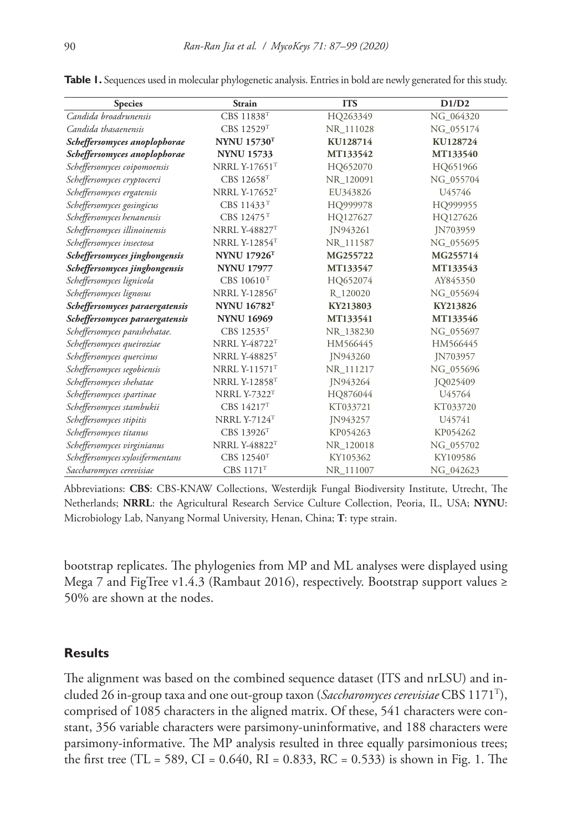| <b>Species</b>                   | <b>Strain</b>          | <b>ITS</b> | D1/D2     |
|----------------------------------|------------------------|------------|-----------|
| Candida broadrunensis            | CBS 11838 <sup>T</sup> | HQ263349   | NG 064320 |
| Candida thasaenensis             | CBS 12529T             | NR_111028  | NG 055174 |
| Scheffersomyces anoplophorae     | <b>NYNU 15730T</b>     | KU128714   | KU128724  |
| Scheffersomyces anoplophorae     | <b>NYNU 15733</b>      | MT133542   | MT133540  |
| Scheffersomyces coipomoensis     | NRRL Y-17651T          | HQ652070   | HQ651966  |
| Scheffersomyces cryptocerci      | CBS 12658T             | NR 120091  | NG 055704 |
| Scheffersomyces ergatensis       | <b>NRRL Y-17652T</b>   | EU343826   | U45746    |
| Scheffersomyces gosingicus       | CBS 11433 <sup>T</sup> | HQ999978   | HQ999955  |
| Scheffersomyces henanensis       | CBS 12475 <sup>T</sup> | HQ127627   | HQ127626  |
| Scheffersomyces illinoinensis    | <b>NRRL Y-48827T</b>   | JN943261   | JN703959  |
| Scheffersomyces insectosa        | <b>NRRL Y-12854T</b>   | NR_111587  | NG_055695 |
| Scheffersomyces jinghongensis    | <b>NYNU 17926T</b>     | MG255722   | MG255714  |
| Scheffersomyces jinghongensis    | <b>NYNU 17977</b>      | MT133547   | MT133543  |
| Scheffersomyces lignicola        | CBS 10610 <sup>T</sup> | HQ652074   | AY845350  |
| Scheffersomyces lignosus         | <b>NRRL Y-12856T</b>   | R 120020   | NG 055694 |
| Scheffersomyces paraergatensis   | <b>NYNU 16782T</b>     | KY213803   | KY213826  |
| Scheffersomyces paraergatensis   | <b>NYNU 16969</b>      | MT133541   | MT133546  |
| Scheffersomyces parashehatae.    | CBS 12535T             | NR_138230  | NG_055697 |
| Scheffersomyces queiroziae       | <b>NRRL Y-48722T</b>   | HM566445   | HM566445  |
| Scheffersomyces quercinus        | <b>NRRL Y-48825T</b>   | IN943260   | IN703957  |
| Scheffersomyces segobiensis      | <b>NRRL Y-11571T</b>   | NR_111217  | NG_055696 |
| Scheffersomyces shehatae         | <b>NRRL Y-12858T</b>   | JN943264   | JQ025409  |
| Scheffersomyces spartinae        | <b>NRRL Y-7322T</b>    | HQ876044   | U45764    |
| Scheffersomyces stambukii        | CBS 14217T             | KT033721   | KT033720  |
| Scheffersomyces stipitis         | <b>NRRL Y-7124T</b>    | IN943257   | U45741    |
| Scheffersomyces titanus          | CBS 13926 <sup>T</sup> | KP054263   | KP054262  |
| Scheffersomyces virginianus      | <b>NRRL Y-48822T</b>   | NR_120018  | NG_055702 |
| Scheffersomyces xylosifermentans | CBS 12540 <sup>T</sup> | KY105362   | KY109586  |
| Saccharomyces cerevisiae         | CBS 1171 <sup>T</sup>  | NR_111007  | NG 042623 |

**Table 1.** Sequences used in molecular phylogenetic analysis. Entries in bold are newly generated for this study.

Abbreviations: **CBS**: CBS-KNAW Collections, Westerdijk Fungal Biodiversity Institute, Utrecht, The Netherlands; **NRRL**: the Agricultural Research Service Culture Collection, Peoria, IL, USA; **NYNU**: Microbiology Lab, Nanyang Normal University, Henan, China; **T**: type strain.

bootstrap replicates. The phylogenies from MP and ML analyses were displayed using Mega 7 and FigTree v1.4.3 (Rambaut 2016), respectively. Bootstrap support values ≥ 50% are shown at the nodes.

# **Results**

The alignment was based on the combined sequence dataset (ITS and nrLSU) and included 26 in-group taxa and one out-group taxon (*Saccharomyces cerevisiae* CBS 1171T), comprised of 1085 characters in the aligned matrix. Of these, 541 characters were constant, 356 variable characters were parsimony-uninformative, and 188 characters were parsimony-informative. The MP analysis resulted in three equally parsimonious trees; the first tree (TL = 589, CI = 0.640, RI = 0.833, RC = 0.533) is shown in Fig. 1. The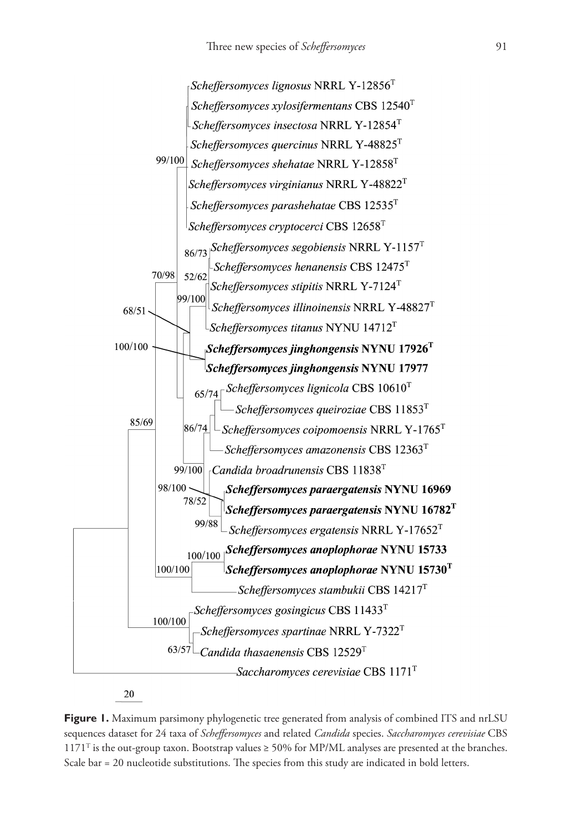

20

**Figure 1.** Maximum parsimony phylogenetic tree generated from analysis of combined ITS and nrLSU sequences dataset for 24 taxa of *Scheffersomyces* and related *Candida* species. *Saccharomyces cerevisiae* CBS  $1171<sup>T</sup>$  is the out-group taxon. Bootstrap values  $\geq 50\%$  for MP/ML analyses are presented at the branches. Scale bar = 20 nucleotide substitutions. The species from this study are indicated in bold letters.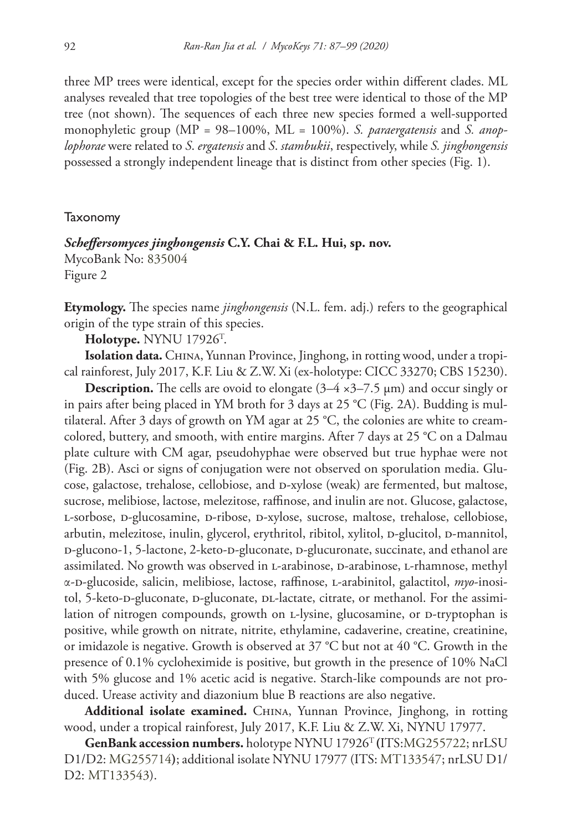three MP trees were identical, except for the species order within different clades. ML analyses revealed that tree topologies of the best tree were identical to those of the MP tree (not shown). The sequences of each three new species formed a well-supported monophyletic group (MP = 98–100%, ML = 100%). *S. paraergatensis* and *S. anoplophorae* were related to *S*. *ergatensis* and *S*. *stambukii*, respectively, while *S. jinghongensis* possessed a strongly independent lineage that is distinct from other species (Fig. 1).

#### Taxonomy

# *Scheffersomyces jinghongensis* **C.Y. Chai & F.L. Hui, sp. nov.** MycoBank No: [835004](http://www.mycobank.org/MycoTaxo.aspx?Link=T&Rec=835004)

Figure 2

**Etymology.** The species name *jinghongensis* (N.L. fem. adj.) refers to the geographical origin of the type strain of this species.

**Holotype.** NYNU 17926T .

Isolation data. CHINA, Yunnan Province, Jinghong, in rotting wood, under a tropical rainforest, July 2017, K.F. Liu & Z.W. Xi (ex-holotype: CICC 33270; CBS 15230).

**Description.** The cells are ovoid to elongate (3–4 ×3–7.5 μm) and occur singly or in pairs after being placed in YM broth for 3 days at 25 °C (Fig. 2A). Budding is multilateral. After 3 days of growth on YM agar at 25 °C, the colonies are white to creamcolored, buttery, and smooth, with entire margins. After 7 days at 25 °C on a Dalmau plate culture with CM agar, pseudohyphae were observed but true hyphae were not (Fig. 2B). Asci or signs of conjugation were not observed on sporulation media. Glucose, galactose, trehalose, cellobiose, and d-xylose (weak) are fermented, but maltose, sucrose, melibiose, lactose, melezitose, raffinose, and inulin are not. Glucose, galactose, l-sorbose, d-glucosamine, d-ribose, d-xylose, sucrose, maltose, trehalose, cellobiose, arbutin, melezitose, inulin, glycerol, erythritol, ribitol, xylitol, D-glucitol, D-mannitol, D-glucono-1, 5-lactone, 2-keto-D-gluconate, D-glucuronate, succinate, and ethanol are assimilated. No growth was observed in *L*-arabinose, *D*-arabinose, *L*-rhamnose, methyl α-d-glucoside, salicin, melibiose, lactose, raffinose, l-arabinitol, galactitol, *myo*-inositol, 5-keto-D-gluconate, D-gluconate, DL-lactate, citrate, or methanol. For the assimilation of nitrogen compounds, growth on *L*-lysine, glucosamine, or *D*-tryptophan is positive, while growth on nitrate, nitrite, ethylamine, cadaverine, creatine, creatinine, or imidazole is negative. Growth is observed at 37 °C but not at 40 °C. Growth in the presence of 0.1% cycloheximide is positive, but growth in the presence of 10% NaCl with 5% glucose and 1% acetic acid is negative. Starch-like compounds are not produced. Urease activity and diazonium blue B reactions are also negative.

Additional isolate examined. CHINA, Yunnan Province, Jinghong, in rotting wood, under a tropical rainforest, July 2017, K.F. Liu & Z.W. Xi, NYNU 17977.

**GenBank accession numbers.** holotype NYNU 17926T **(**ITS[:MG255722](http://www.ncbi.nlm.nih.gov/nuccore/MG255722); nrLSU D1/D2: [MG255714](http://www.ncbi.nlm.nih.gov/nuccore/MG255714)**)**; additional isolate NYNU 17977 (ITS: [MT133547](http://www.ncbi.nlm.nih.gov/nuccore/MT133547); nrLSU D1/ D2: [MT133543](http://www.ncbi.nlm.nih.gov/nuccore/MT133543)).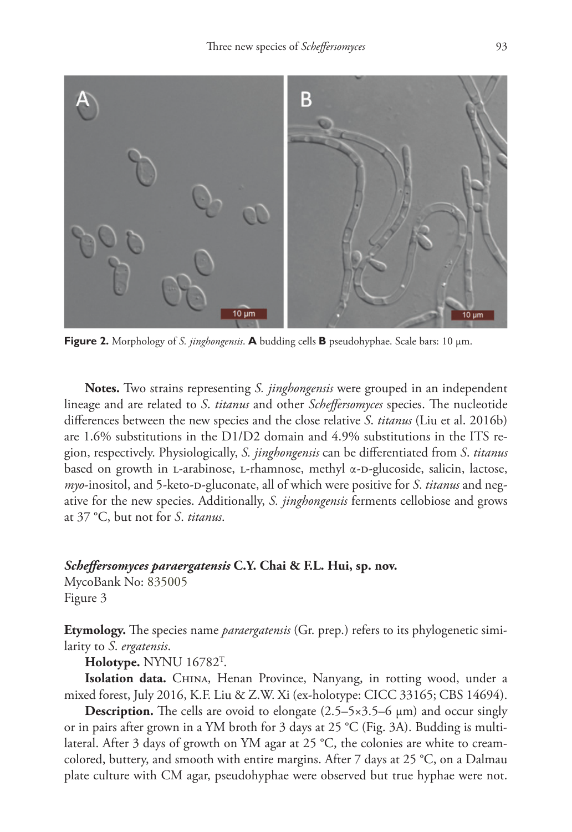

**Figure 2.** Morphology of *S. jinghongensis*. **A** budding cells **B** pseudohyphae. Scale bars: 10 μm.

**Notes.** Two strains representing *S. jinghongensis* were grouped in an independent lineage and are related to *S*. *titanus* and other *Scheffersomyces* species. The nucleotide differences between the new species and the close relative *S*. *titanus* (Liu et al. 2016b) are 1.6% substitutions in the D1/D2 domain and 4.9% substitutions in the ITS region, respectively. Physiologically, *S. jinghongensis* can be differentiated from *S*. *titanus* based on growth in L-arabinose, L-rhamnose, methyl  $\alpha$ -D-glucoside, salicin, lactose, *myo*-inositol, and 5-keto-D-gluconate, all of which were positive for *S. titanus* and negative for the new species. Additionally, *S. jinghongensis* ferments cellobiose and grows at 37 °C, but not for *S*. *titanus*.

# *Scheffersomyces paraergatensis* **C.Y. Chai & F.L. Hui, sp. nov.**

MycoBank No: [835005](http://www.mycobank.org/MycoTaxo.aspx?Link=T&Rec=835005) Figure 3

**Etymology.** The species name *paraergatensis* (Gr. prep.) refers to its phylogenetic similarity to *S*. *ergatensis*.

**Holotype.** NYNU 16782T .

Isolation data. CHINA, Henan Province, Nanyang, in rotting wood, under a mixed forest, July 2016, K.F. Liu & Z.W. Xi (ex-holotype: CICC 33165; CBS 14694).

**Description.** The cells are ovoid to elongate (2.5–5×3.5–6 μm) and occur singly or in pairs after grown in a YM broth for 3 days at 25 °C (Fig. 3A). Budding is multilateral. After 3 days of growth on YM agar at 25 °C, the colonies are white to creamcolored, buttery, and smooth with entire margins. After 7 days at 25 °C, on a Dalmau plate culture with CM agar, pseudohyphae were observed but true hyphae were not.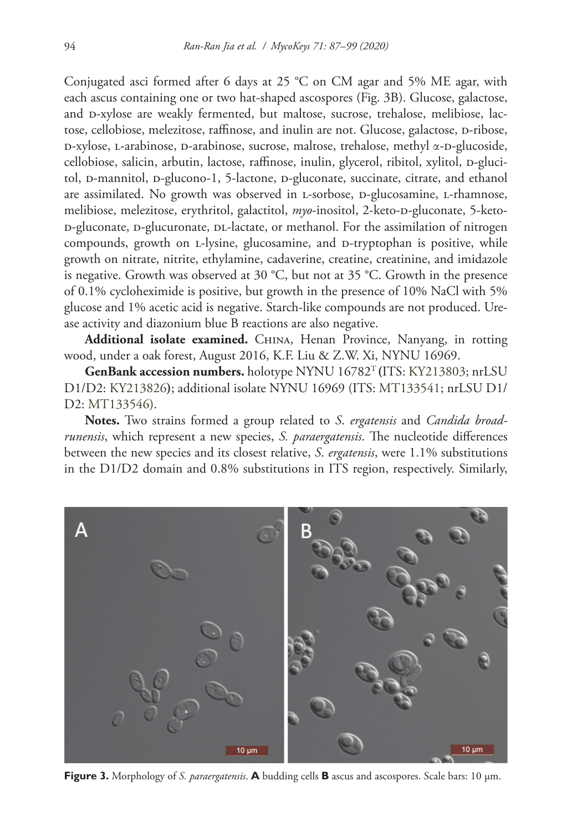Conjugated asci formed after 6 days at 25  $^{\circ}$ C on CM agar and 5% ME agar, with each ascus containing one or two hat-shaped ascospores (Fig. 3B). Glucose, galactose, and p-xylose are weakly fermented, but maltose, sucrose, trehalose, melibiose, lactose, cellobiose, melezitose, raffinose, and inulin are not. Glucose, galactose, p-ribose, D-xylose, L-arabinose, D-arabinose, sucrose, maltose, trehalose, methyl α-D-glucoside, cellobiose, salicin, arbutin, lactose, raffinose, inulin, glycerol, ribitol, xylitol, p-glucitol, p-mannitol, p-glucono-1, 5-lactone, p-gluconate, succinate, citrate, and ethanol are assimilated. No growth was observed in L-sorbose, D-glucosamine, L-rhamnose, melibiose, melezitose, erythritol, galactitol, *myo*-inositol, 2-keto-D-gluconate, 5-ketop-gluconate, p-glucuronate, p. - lactate, or methanol. For the assimilation of nitrogen compounds, growth on L-lysine, glucosamine, and D-tryptophan is positive, while growth on nitrate, nitrite, ethylamine, cadaverine, creatine, creatinine, and imidazole is negative. Growth was observed at 30 °C, but not at 35 °C. Growth in the presence of 0.1% cycloheximide is positive, but growth in the presence of 10% NaCl with 5% glucose and 1% acetic acid is negative. Starch-like compounds are not produced. Urease activity and diazonium blue B reactions are also negative.

Additional isolate examined. CHINA, Henan Province, Nanyang, in rotting wood, under a oak forest, August 2016, K.F. Liu & Z.W. Xi, NYNU 16969.

**GenBank accession numbers.** holotype NYNU 16782T **(**ITS: [KY213803](http://www.ncbi.nlm.nih.gov/nuccore/KY213803); nrLSU D1/D2: [KY213826](http://www.ncbi.nlm.nih.gov/nuccore/KY213826)**)**; additional isolate NYNU 16969 (ITS: [MT133541](http://www.ncbi.nlm.nih.gov/nuccore/MT133541); nrLSU D1/ D2: [MT133546](http://www.ncbi.nlm.nih.gov/nuccore/MT133546)).

**Notes.** Two strains formed a group related to *S*. *ergatensis* and *Candida broadrunensis*, which represent a new species, *S. paraergatensis*. The nucleotide differences between the new species and its closest relative, *S*. *ergatensis*, were 1.1% substitutions in the D1/D2 domain and 0.8% substitutions in ITS region, respectively. Similarly,



**Figure 3.** Morphology of *S. paraergatensis*. **A** budding cells **B** ascus and ascospores. Scale bars: 10 μm.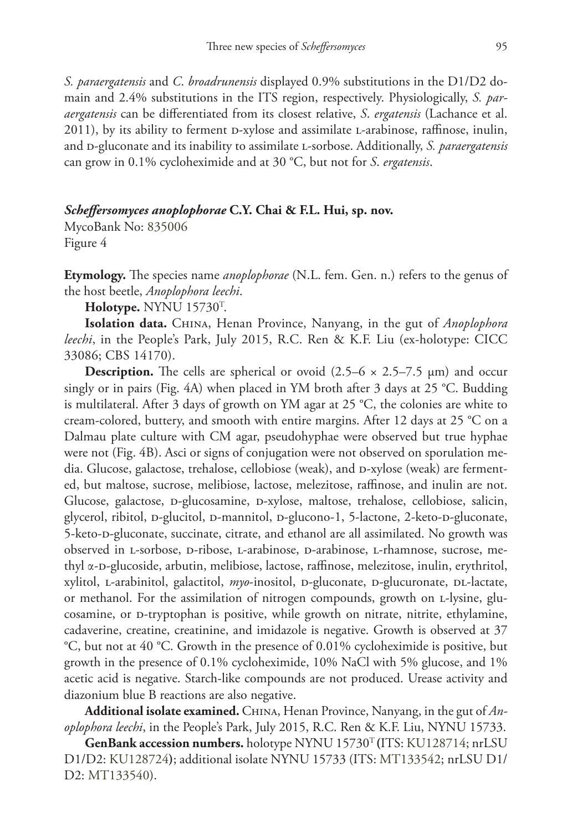*S. paraergatensis* and *C*. *broadrunensis* displayed 0.9% substitutions in the D1/D2 domain and 2.4% substitutions in the ITS region, respectively. Physiologically, *S. paraergatensis* can be differentiated from its closest relative, *S*. *ergatensis* (Lachance et al. 2011), by its ability to ferment D-xylose and assimilate L-arabinose, raffinose, inulin, and d-gluconate and its inability to assimilate l-sorbose. Additionally, *S. paraergatensis*  can grow in 0.1% cycloheximide and at 30 °C, but not for *S*. *ergatensis*.

# *Scheffersomyces anoplophorae* **C.Y. Chai & F.L. Hui, sp. nov.**

MycoBank No: [835006](http://www.mycobank.org/MycoTaxo.aspx?Link=T&Rec=835006) Figure 4

**Etymology.** The species name *anoplophorae* (N.L. fem. Gen. n.) refers to the genus of the host beetle, *Anoplophora leechi*.

**Holotype.** NYNU 15730T .

**Isolation data.** China, Henan Province, Nanyang, in the gut of *Anoplophora leechi*, in the People's Park, July 2015, R.C. Ren & K.F. Liu (ex-holotype: CICC 33086; CBS 14170).

**Description.** The cells are spherical or ovoid  $(2.5-6 \times 2.5-7.5 \mu m)$  and occur singly or in pairs (Fig. 4A) when placed in YM broth after 3 days at 25 °C. Budding is multilateral. After 3 days of growth on YM agar at 25 °C, the colonies are white to cream-colored, buttery, and smooth with entire margins. After 12 days at 25 °C on a Dalmau plate culture with CM agar, pseudohyphae were observed but true hyphae were not (Fig. 4B). Asci or signs of conjugation were not observed on sporulation media. Glucose, galactose, trehalose, cellobiose (weak), and  $p$ -xylose (weak) are fermented, but maltose, sucrose, melibiose, lactose, melezitose, raffinose, and inulin are not. Glucose, galactose, p-glucosamine, p-xylose, maltose, trehalose, cellobiose, salicin, glycerol, ribitol, p-glucitol, p-mannitol, p-glucono-1, 5-lactone, 2-keto-p-gluconate, 5-keto-d-gluconate, succinate, citrate, and ethanol are all assimilated. No growth was observed in l-sorbose, d-ribose, l-arabinose, d-arabinose, l-rhamnose, sucrose, methyl α-D-glucoside, arbutin, melibiose, lactose, raffinose, melezitose, inulin, erythritol, xylitol, L-arabinitol, galactitol, *myo*-inositol, p-gluconate, p-glucuronate, pL-lactate, or methanol. For the assimilation of nitrogen compounds, growth on L-lysine, glucosamine, or D-tryptophan is positive, while growth on nitrate, nitrite, ethylamine, cadaverine, creatine, creatinine, and imidazole is negative. Growth is observed at 37 °C, but not at 40 °C. Growth in the presence of 0.01% cycloheximide is positive, but growth in the presence of 0.1% cycloheximide, 10% NaCl with 5% glucose, and 1% acetic acid is negative. Starch-like compounds are not produced. Urease activity and diazonium blue B reactions are also negative.

Additional isolate examined. CHINA, Henan Province, Nanyang, in the gut of *Anoplophora leechi*, in the People's Park, July 2015, R.C. Ren & K.F. Liu, NYNU 15733.

**GenBank accession numbers.** holotype NYNU 15730T **(**ITS: [KU128714](http://www.ncbi.nlm.nih.gov/nuccore/KU128714); nrLSU D1/D2: [KU128724](http://www.ncbi.nlm.nih.gov/nuccore/KU128724)**)**; additional isolate NYNU 15733 (ITS: [MT133542;](http://www.ncbi.nlm.nih.gov/nuccore/MT133542) nrLSU D1/ D2: [MT133540](http://www.ncbi.nlm.nih.gov/nuccore/MT133540)).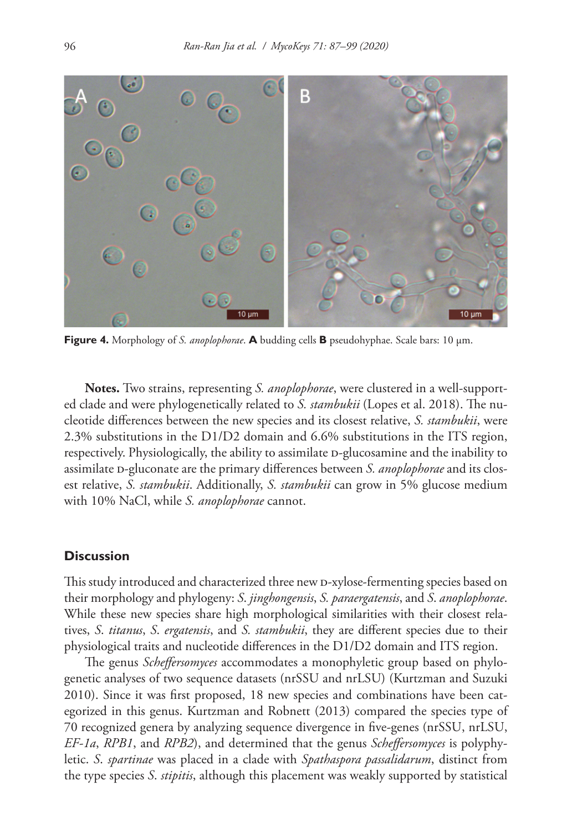

**Figure 4.** Morphology of *S. anoplophorae*. **A** budding cells **B** pseudohyphae. Scale bars: 10 μm.

**Notes.** Two strains, representing *S. anoplophorae*, were clustered in a well-supported clade and were phylogenetically related to *S. stambukii* (Lopes et al. 2018). The nucleotide differences between the new species and its closest relative, *S. stambukii*, were 2.3% substitutions in the D1/D2 domain and 6.6% substitutions in the ITS region, respectively. Physiologically, the ability to assimilate p-glucosamine and the inability to assimilate D-gluconate are the primary differences between *S. anoplophorae* and its closest relative, *S. stambukii*. Additionally, *S. stambukii* can grow in 5% glucose medium with 10% NaCl, while *S. anoplophorae* cannot.

# **Discussion**

This study introduced and characterized three new D-xylose-fermenting species based on their morphology and phylogeny: *S*. *jinghongensis*, *S. paraergatensis*, and *S*. *anoplophorae*. While these new species share high morphological similarities with their closest relatives, *S*. *titanus*, *S*. *ergatensis*, and *S. stambukii*, they are different species due to their physiological traits and nucleotide differences in the D1/D2 domain and ITS region.

The genus *Scheffersomyces* accommodates a monophyletic group based on phylogenetic analyses of two sequence datasets (nrSSU and nrLSU) (Kurtzman and Suzuki 2010). Since it was first proposed, 18 new species and combinations have been categorized in this genus. Kurtzman and Robnett (2013) compared the species type of 70 recognized genera by analyzing sequence divergence in five-genes (nrSSU, nrLSU, *EF-1a*, *RPB1*, and *RPB2*), and determined that the genus *Scheffersomyces* is polyphyletic. *S*. *spartinae* was placed in a clade with *Spathaspora passalidarum*, distinct from the type species *S*. *stipitis*, although this placement was weakly supported by statistical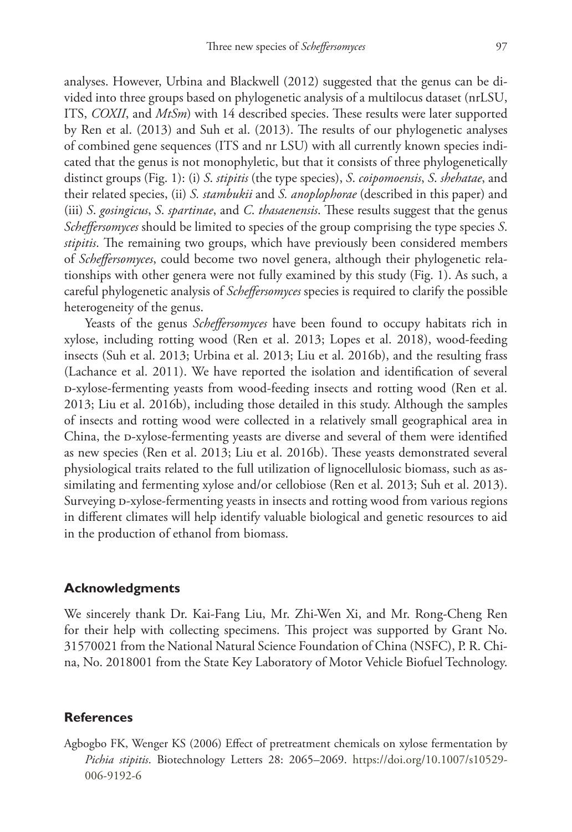analyses. However, Urbina and Blackwell (2012) suggested that the genus can be divided into three groups based on phylogenetic analysis of a multilocus dataset (nrLSU, ITS, *COXII*, and *MtSm*) with 14 described species. These results were later supported by Ren et al. (2013) and Suh et al. (2013). The results of our phylogenetic analyses of combined gene sequences (ITS and nr LSU) with all currently known species indicated that the genus is not monophyletic, but that it consists of three phylogenetically distinct groups (Fig. 1): (i) *S*. *stipitis* (the type species), *S*. *coipomoensis*, *S*. *shehatae*, and their related species, (ii) *S. stambukii* and *S. anoplophorae* (described in this paper) and (iii) *S*. *gosingicus*, *S*. *spartinae*, and *C*. *thasaenensis*. These results suggest that the genus *Scheffersomyces* should be limited to species of the group comprising the type species *S*. *stipitis*. The remaining two groups, which have previously been considered members of *Scheffersomyces*, could become two novel genera, although their phylogenetic relationships with other genera were not fully examined by this study (Fig. 1). As such, a careful phylogenetic analysis of *Scheffersomyces* species is required to clarify the possible heterogeneity of the genus.

Yeasts of the genus *Scheffersomyces* have been found to occupy habitats rich in xylose, including rotting wood (Ren et al. 2013; Lopes et al. 2018), wood-feeding insects (Suh et al. 2013; Urbina et al. 2013; Liu et al. 2016b), and the resulting frass (Lachance et al. 2011). We have reported the isolation and identification of several d-xylose-fermenting yeasts from wood-feeding insects and rotting wood (Ren et al. 2013; Liu et al. 2016b), including those detailed in this study. Although the samples of insects and rotting wood were collected in a relatively small geographical area in China, the p-xylose-fermenting yeasts are diverse and several of them were identified as new species (Ren et al. 2013; Liu et al. 2016b). These yeasts demonstrated several physiological traits related to the full utilization of lignocellulosic biomass, such as assimilating and fermenting xylose and/or cellobiose (Ren et al. 2013; Suh et al. 2013). Surveying p-xylose-fermenting yeasts in insects and rotting wood from various regions in different climates will help identify valuable biological and genetic resources to aid in the production of ethanol from biomass.

# **Acknowledgments**

We sincerely thank Dr. Kai-Fang Liu, Mr. Zhi-Wen Xi, and Mr. Rong-Cheng Ren for their help with collecting specimens. This project was supported by Grant No. 31570021 from the National Natural Science Foundation of China (NSFC), P. R. China, No. 2018001 from the State Key Laboratory of Motor Vehicle Biofuel Technology.

#### **References**

Agbogbo FK, Wenger KS (2006) Effect of pretreatment chemicals on xylose fermentation by *Pichia stipitis*. Biotechnology Letters 28: 2065–2069. [https://doi.org/10.1007/s10529-](https://doi.org/10.1007/s10529-006-9192-6) [006-9192-6](https://doi.org/10.1007/s10529-006-9192-6)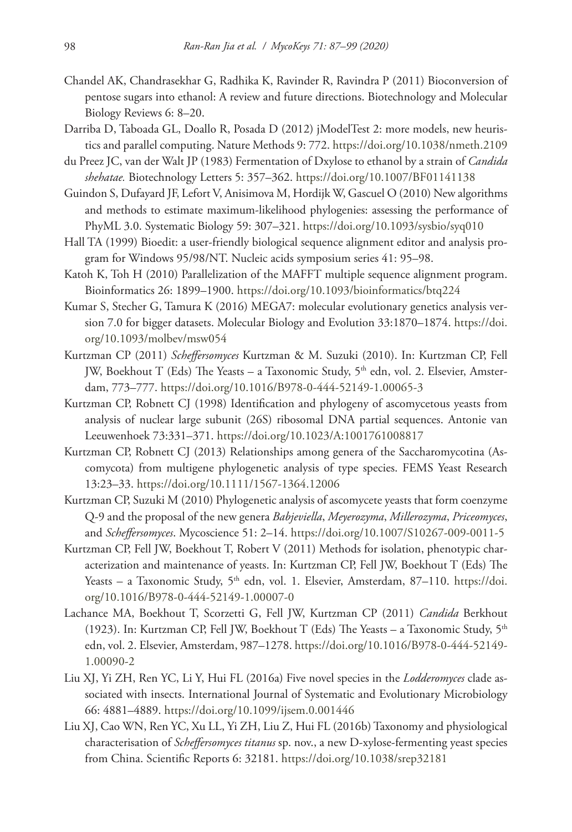- Chandel AK, Chandrasekhar G, Radhika K, Ravinder R, Ravindra P (2011) Bioconversion of pentose sugars into ethanol: A review and future directions. Biotechnology and Molecular Biology Reviews 6: 8–20.
- Darriba D, Taboada GL, Doallo R, Posada D (2012) jModelTest 2: more models, new heuristics and parallel computing. Nature Methods 9: 772.<https://doi.org/10.1038/nmeth.2109>
- du Preez JC, van der Walt JP (1983) Fermentation of Dxylose to ethanol by a strain of *Candida shehatae.* Biotechnology Letters 5: 357–362.<https://doi.org/10.1007/BF01141138>
- Guindon S, Dufayard JF, Lefort V, Anisimova M, Hordijk W, Gascuel O (2010) New algorithms and methods to estimate maximum-likelihood phylogenies: assessing the performance of PhyML 3.0. Systematic Biology 59: 307–321. <https://doi.org/10.1093/sysbio/syq010>
- Hall TA (1999) Bioedit: a user-friendly biological sequence alignment editor and analysis program for Windows 95/98/NT. Nucleic acids symposium series 41: 95–98.
- Katoh K, Toh H (2010) Parallelization of the MAFFT multiple sequence alignment program. Bioinformatics 26: 1899–1900. <https://doi.org/10.1093/bioinformatics/btq224>
- Kumar S, Stecher G, Tamura K (2016) MEGA7: molecular evolutionary genetics analysis version 7.0 for bigger datasets. Molecular Biology and Evolution 33:1870–1874. [https://doi.](https://doi.org/10.1093/molbev/msw054) [org/10.1093/molbev/msw054](https://doi.org/10.1093/molbev/msw054)
- Kurtzman CP (2011) *Scheffersomyces* Kurtzman & M. Suzuki (2010). In: Kurtzman CP, Fell JW, Boekhout T (Eds) The Yeasts – a Taxonomic Study, 5<sup>th</sup> edn, vol. 2. Elsevier, Amsterdam, 773–777.<https://doi.org/10.1016/B978-0-444-52149-1.00065-3>
- Kurtzman CP, Robnett CJ (1998) Identification and phylogeny of ascomycetous yeasts from analysis of nuclear large subunit (26S) ribosomal DNA partial sequences. Antonie van Leeuwenhoek 73:331–371. <https://doi.org/10.1023/A:1001761008817>
- Kurtzman CP, Robnett CJ (2013) Relationships among genera of the Saccharomycotina (Ascomycota) from multigene phylogenetic analysis of type species. FEMS Yeast Research 13:23–33. <https://doi.org/10.1111/1567-1364.12006>
- Kurtzman CP, Suzuki M (2010) Phylogenetic analysis of ascomycete yeasts that form coenzyme Q-9 and the proposal of the new genera *Babjeviella*, *Meyerozyma*, *Millerozyma*, *Priceomyces*, and *Scheffersomyces*. Mycoscience 51: 2–14. <https://doi.org/10.1007/S10267-009-0011-5>
- Kurtzman CP, Fell JW, Boekhout T, Robert V (2011) Methods for isolation, phenotypic characterization and maintenance of yeasts. In: Kurtzman CP, Fell JW, Boekhout T (Eds) The Yeasts – a Taxonomic Study, 5<sup>th</sup> edn, vol. 1. Elsevier, Amsterdam, 87–110. [https://doi.](https://doi.org/10.1016/B978-0-444-52149-1.00007-0) [org/10.1016/B978-0-444-52149-1.00007-0](https://doi.org/10.1016/B978-0-444-52149-1.00007-0)
- Lachance MA, Boekhout T, Scorzetti G, Fell JW, Kurtzman CP (2011) *Candida* Berkhout (1923). In: Kurtzman CP, Fell JW, Boekhout T (Eds) The Yeasts – a Taxonomic Study,  $5<sup>th</sup>$ edn, vol. 2. Elsevier, Amsterdam, 987–1278. [https://doi.org/10.1016/B978-0-444-52149-](https://doi.org/10.1016/B978-0-444-52149-1.00090-2) [1.00090-2](https://doi.org/10.1016/B978-0-444-52149-1.00090-2)
- Liu XJ, Yi ZH, Ren YC, Li Y, Hui FL (2016a) Five novel species in the *Lodderomyces* clade associated with insects. International Journal of Systematic and Evolutionary Microbiology 66: 4881–4889.<https://doi.org/10.1099/ijsem.0.001446>
- Liu XJ, Cao WN, Ren YC, Xu LL, Yi ZH, Liu Z, Hui FL (2016b) Taxonomy and physiological characterisation of *Scheffersomyces titanus* sp. nov., a new D-xylose-fermenting yeast species from China. Scientific Reports 6: 32181.<https://doi.org/10.1038/srep32181>